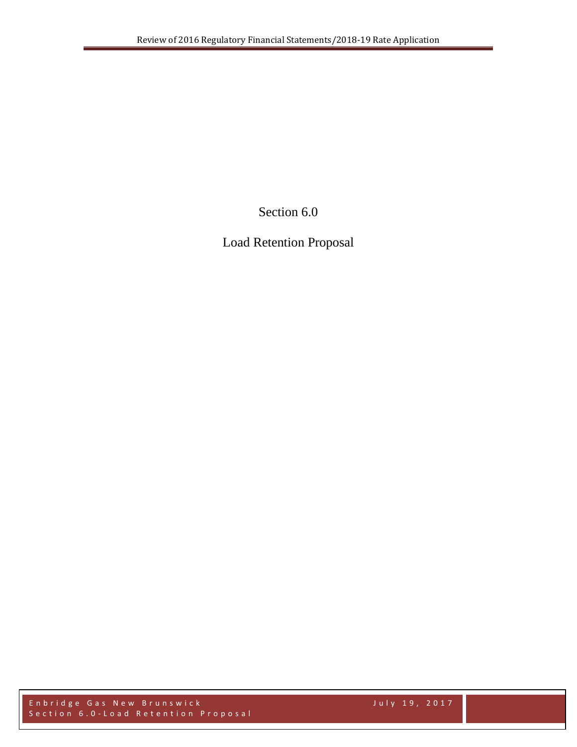Section 6.0

Load Retention Proposal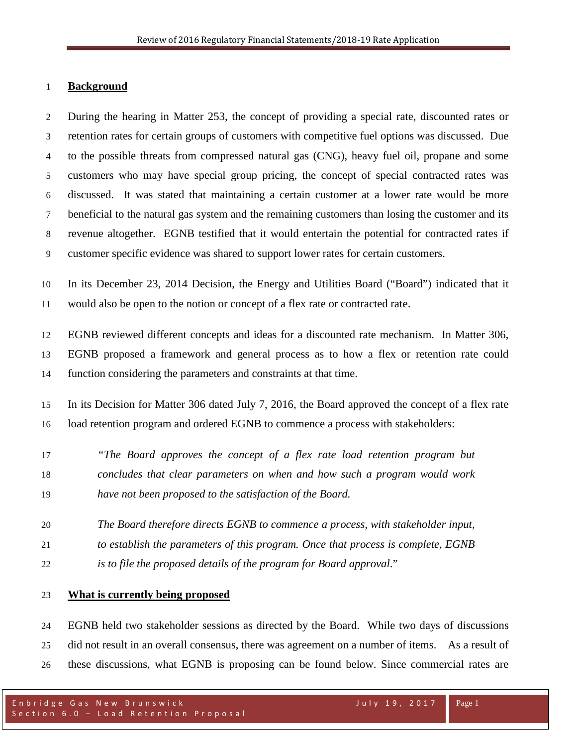### **Background**

 During the hearing in Matter 253, the concept of providing a special rate, discounted rates or retention rates for certain groups of customers with competitive fuel options was discussed. Due to the possible threats from compressed natural gas (CNG), heavy fuel oil, propane and some customers who may have special group pricing, the concept of special contracted rates was discussed. It was stated that maintaining a certain customer at a lower rate would be more beneficial to the natural gas system and the remaining customers than losing the customer and its revenue altogether. EGNB testified that it would entertain the potential for contracted rates if customer specific evidence was shared to support lower rates for certain customers.

 In its December 23, 2014 Decision, the Energy and Utilities Board ("Board") indicated that it would also be open to the notion or concept of a flex rate or contracted rate.

 EGNB reviewed different concepts and ideas for a discounted rate mechanism. In Matter 306, EGNB proposed a framework and general process as to how a flex or retention rate could function considering the parameters and constraints at that time.

 In its Decision for Matter 306 dated July 7, 2016, the Board approved the concept of a flex rate load retention program and ordered EGNB to commence a process with stakeholders:

- *"The Board approves the concept of a flex rate load retention program but concludes that clear parameters on when and how such a program would work have not been proposed to the satisfaction of the Board.*
- *The Board therefore directs EGNB to commence a process, with stakeholder input,*
- *to establish the parameters of this program. Once that process is complete, EGNB*
- *is to file the proposed details of the program for Board approval*."

## **What is currently being proposed**

 EGNB held two stakeholder sessions as directed by the Board. While two days of discussions did not result in an overall consensus, there was agreement on a number of items. As a result of these discussions, what EGNB is proposing can be found below. Since commercial rates are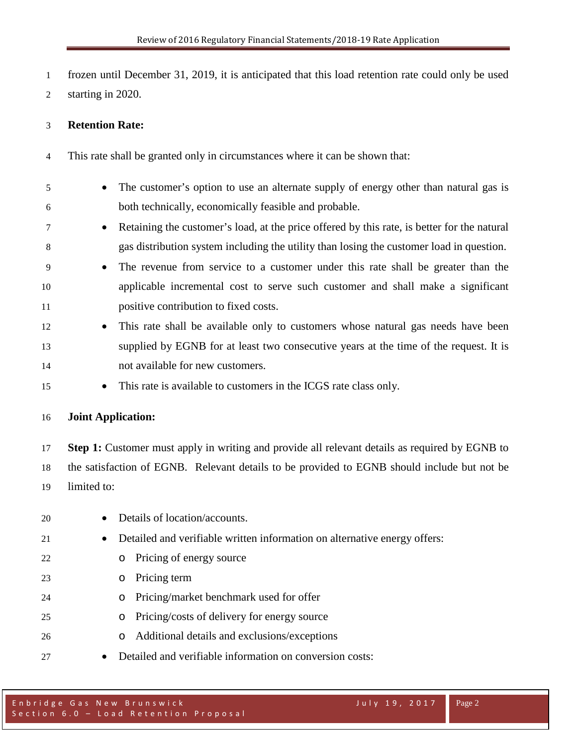frozen until December 31, 2019, it is anticipated that this load retention rate could only be used starting in 2020.

# **Retention Rate:**

This rate shall be granted only in circumstances where it can be shown that:

- The customer's option to use an alternate supply of energy other than natural gas is both technically, economically feasible and probable.
- <sup>7</sup> Retaining the customer's load, at the price offered by this rate, is better for the natural gas distribution system including the utility than losing the customer load in question.
- The revenue from service to a customer under this rate shall be greater than the applicable incremental cost to serve such customer and shall make a significant positive contribution to fixed costs.
- This rate shall be available only to customers whose natural gas needs have been supplied by EGNB for at least two consecutive years at the time of the request. It is not available for new customers.
- This rate is available to customers in the ICGS rate class only.

## **Joint Application:**

 **Step 1:** Customer must apply in writing and provide all relevant details as required by EGNB to the satisfaction of EGNB. Relevant details to be provided to EGNB should include but not be limited to:

 • Details of location/accounts. • Detailed and verifiable written information on alternative energy offers: o Pricing of energy source o Pricing term o Pricing/market benchmark used for offer o Pricing/costs of delivery for energy source o Additional details and exclusions/exceptions • Detailed and verifiable information on conversion costs: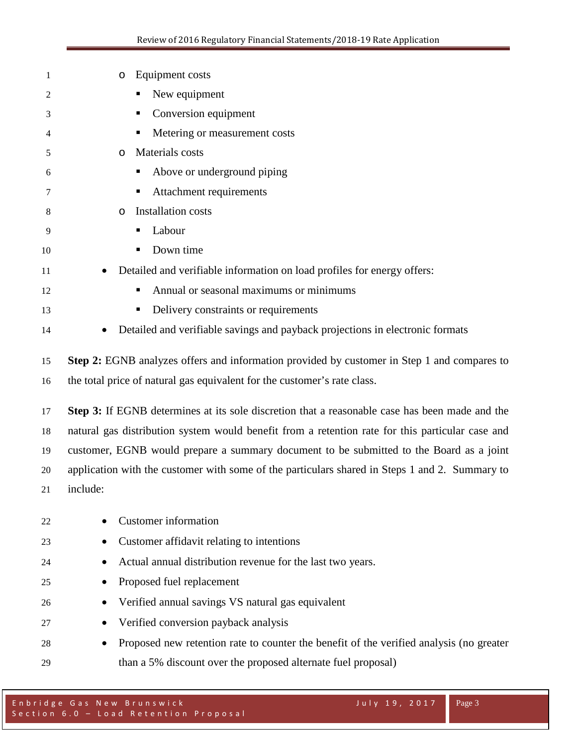| 1  | Equipment costs<br>O                                                                             |
|----|--------------------------------------------------------------------------------------------------|
| 2  | New equipment                                                                                    |
| 3  | Conversion equipment<br>п                                                                        |
| 4  | Metering or measurement costs<br>п                                                               |
| 5  | Materials costs<br>$\circ$                                                                       |
| 6  | Above or underground piping<br>Е                                                                 |
| 7  | Attachment requirements<br>Е                                                                     |
| 8  | Installation costs<br>O                                                                          |
| 9  | Labour<br>п                                                                                      |
| 10 | Down time<br>п                                                                                   |
| 11 | Detailed and verifiable information on load profiles for energy offers:                          |
| 12 | Annual or seasonal maximums or minimums<br>п                                                     |
| 13 | Delivery constraints or requirements                                                             |
| 14 | Detailed and verifiable savings and payback projections in electronic formats                    |
| 15 | Step 2: EGNB analyzes offers and information provided by customer in Step 1 and compares to      |
| 16 | the total price of natural gas equivalent for the customer's rate class.                         |
| 17 | Step 3: If EGNB determines at its sole discretion that a reasonable case has been made and the   |
| 18 | natural gas distribution system would benefit from a retention rate for this particular case and |
| 19 | customer, EGNB would prepare a summary document to be submitted to the Board as a joint          |
| 20 | application with the customer with some of the particulars shared in Steps 1 and 2. Summary to   |
| 21 | include:                                                                                         |
| 22 | <b>Customer</b> information                                                                      |
| 23 | Customer affidavit relating to intentions                                                        |
| 24 | Actual annual distribution revenue for the last two years.                                       |
| 25 | Proposed fuel replacement<br>$\bullet$                                                           |
| 26 | Verified annual savings VS natural gas equivalent<br>$\bullet$                                   |
| 27 | Verified conversion payback analysis                                                             |
| 28 | Proposed new retention rate to counter the benefit of the verified analysis (no greater          |
| 29 | than a 5% discount over the proposed alternate fuel proposal)                                    |
|    |                                                                                                  |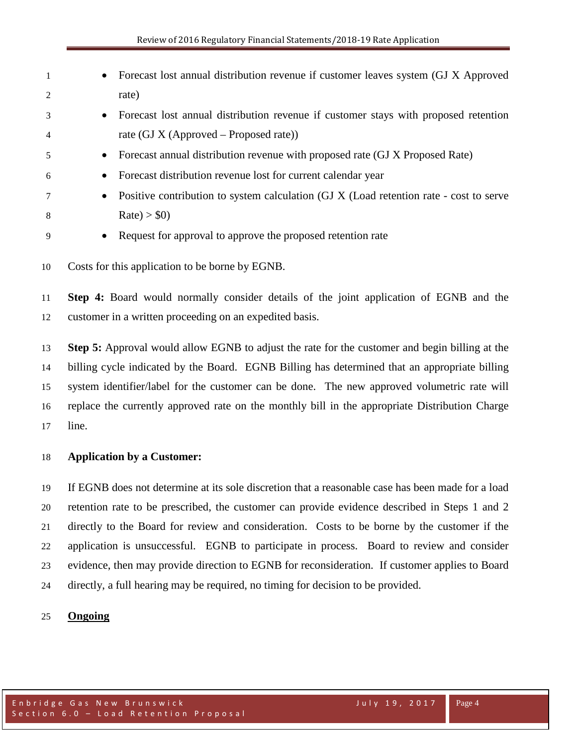- Forecast lost annual distribution revenue if customer leaves system (GJ X Approved rate) • Forecast lost annual distribution revenue if customer stays with proposed retention rate (GJ X (Approved – Proposed rate)) • Forecast annual distribution revenue with proposed rate (GJ X Proposed Rate) • Forecast distribution revenue lost for current calendar year • Positive contribution to system calculation (GJ X (Load retention rate - cost to serve 8 Rate $) > $0$ • Request for approval to approve the proposed retention rate
- Costs for this application to be borne by EGNB.

 **Step 4:** Board would normally consider details of the joint application of EGNB and the customer in a written proceeding on an expedited basis.

 **Step 5:** Approval would allow EGNB to adjust the rate for the customer and begin billing at the billing cycle indicated by the Board. EGNB Billing has determined that an appropriate billing system identifier/label for the customer can be done. The new approved volumetric rate will replace the currently approved rate on the monthly bill in the appropriate Distribution Charge line.

## **Application by a Customer:**

 If EGNB does not determine at its sole discretion that a reasonable case has been made for a load retention rate to be prescribed, the customer can provide evidence described in Steps 1 and 2 directly to the Board for review and consideration. Costs to be borne by the customer if the application is unsuccessful. EGNB to participate in process. Board to review and consider evidence, then may provide direction to EGNB for reconsideration. If customer applies to Board directly, a full hearing may be required, no timing for decision to be provided.

## **Ongoing**